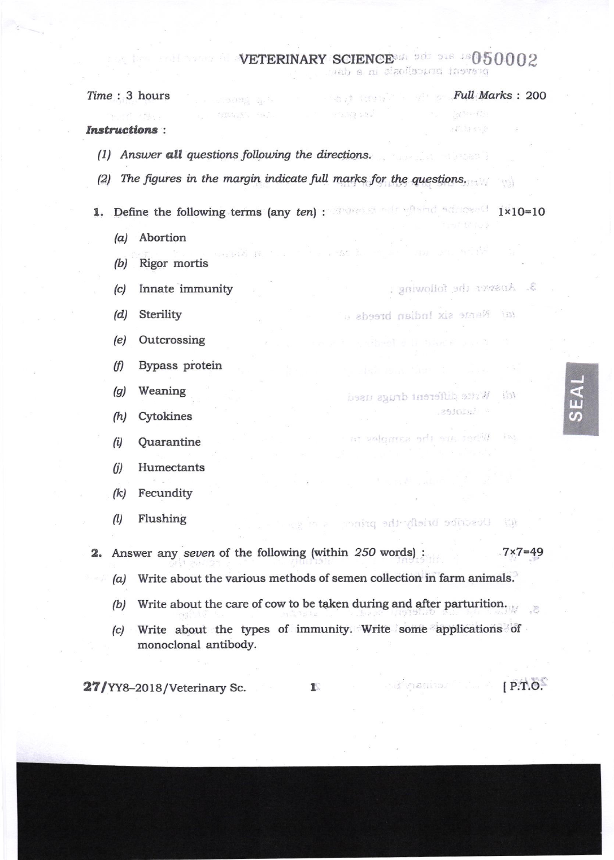## **VETERINARY SCIENCE** and the DS0002

 $(1 - 1)$  ,  $(1 - 1)$ 

and in

prevent brucellosis in a dat

**Full Marks: 200** 

 $\mathbb{R} \mathbb{C}^{n \times n}$  of  $\mathbb{C}$ 

stillist S

3. Ansver the following .

 $-251018^3$ 

**Experiment Community P.T.O.** 

tal Name six Indian breeds a

tel Wrtte different drugs used

at valoring add are sarily in:

 $\mathbb{R}^n$ 

Time: 3 hours

## **Instructions:**

 $(a)$ 

(1) Answer all questions following the directions.

 $\mathcal{O}(1/\sqrt{2})$ 

TOBS SPA  $\mathcal{E}_{\mathcal{I}}(\xi,\xi_{1,\xi},\xi_{2,\xi})=\mathcal{E}_{\mathcal{I}}(\xi_{1,\xi}).$ 

- (2) The figures in the margin indicate full marks for the questions.
- 1. Define the following terms (any ten): The construction of address (1x10=10
	- Abortion
	- Rigor mortis  $(b)$
	- Innate immunity  $(c)$
	- $(d)$ Sterility
	- Outcrossing  $(e)$
	- Bypass protein  $(f)$
	- $(g)$ Weaning
	- $(h)$ Cytokines
	- **Ouarantine**  $(i)$
	- Humectants  $(i)$
	- Fecundity  $(k)$
	- $(1)$ Flushing

(a) Describe briefly the prince:

2. Answer any seven of the following (within 250 words) :  $.7 \times 7 = 49$ 

- (a) Write about the various methods of semen collection in farm animals.
- (b) Write about the care of cow to be taken during and after parturition.
- Write about the types of immunity. Write some applications of  $|c|$ monoclonal antibody.

27/YY8-2018/Veterinary Sc.

 $\mathbf{1}$ 

 $\mathcal{P}^{\text{eq}}$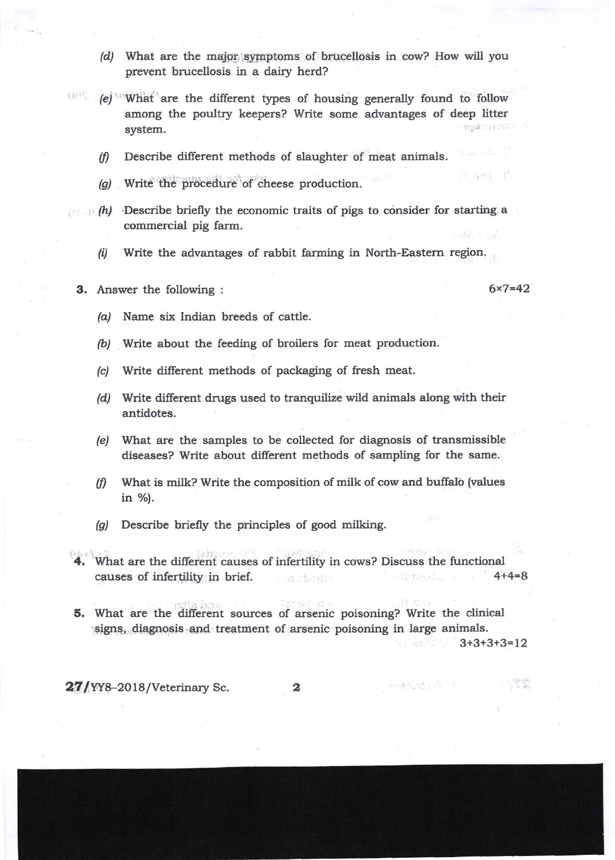- (d) What are the major symptoms of brucellosis in cow? How will you prevent brucellosis in a dairy herd?
- (e) What are the different types of housing generally found to follow among the poultry keepers? Write some advantages of deep litter NEWSTERN - 23 system.
	- $(f)$  Describe different methods of slaughter of meat animals.
	- (a) Write the procedure of cheese production.
- $(h)$  Describe briefly the economic traits of pigs to consider for starting a commercial pig farm.
	- $(i)$  Write the advantages of rabbit farming in North-Eastern region.
	- **3.** Answer the following :  $6 \times 7 = 42$

. and t

- /a/ Name six Indian breeds of cattle.
- (b) Write about the feeding of broilers for meat production.
- (c) Write different methods of packaging of fresh meat.
- (d) Write different drugs used to tranquilize wild animals along with their antidotes.
- (e) What are the samples to be collected for diagnosis of transmissible diseases? Write about different methods of sampling for the same.
- $(f)$  What is milk? Write the composition of milk of cow and buffalo (values in %).
- (g) Describe briefly the principles of good milking.
- What are the different causes of infertility in cows? Discuss the functional causes of infertility in brief. And the state of the state of the state of the state of the state of the state of the state of the state of the state of the state of the state of the state of the state of the state of the
- 5. What are the different sources of arsenic poisoning? Write the clinical signs, diagnosis and treatment of arsenic poisoning in large animals.

 $3+3+3+3=12$ 

President's C

 $27/$ YY8-2018/Veterinary Sc.  $2$